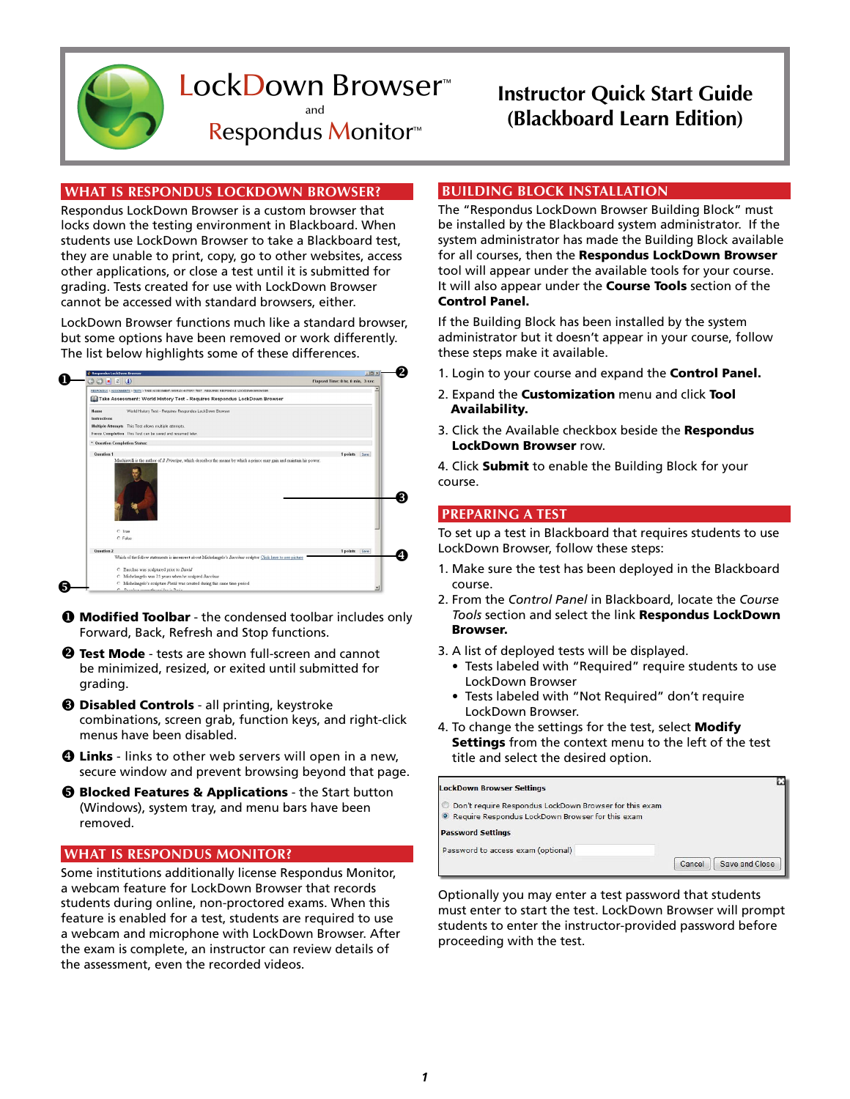

## LockDown Browser™ and Respondus Monitor™

## **Instructor Quick Start Guide (Blackboard Learn Edition)**

# **WHAT IS RESPONDUS LOCKDOWN BROWSER?**

Respondus LockDown Browser is a custom browser that locks down the testing environment in Blackboard. When students use LockDown Browser to take a Blackboard test, they are unable to print, copy, go to other websites, access other applications, or close a test until it is submitted for grading. Tests created for use with LockDown Browser cannot be accessed with standard browsers, either.

LockDown Browser functions much like a standard browser, but some options have been removed or work differently. The list below highlights some of these differences.



- $\bullet$  **Modified Toolbar** the condensed toolbar includes only Forward, Back, Refresh and Stop functions.
- **2 Test Mode** tests are shown full-screen and cannot be minimized, resized, or exited until submitted for grading.
- **8 Disabled Controls** all printing, keystroke combinations, screen grab, function keys, and right-click menus have been disabled.
- **O Links** links to other web servers will open in a new, secure window and prevent browsing beyond that page.
- **6 Blocked Features & Applications** the Start button (Windows), system tray, and menu bars have been removed.

## **WHAT IS RESPONDUS MONITOR?**

Some institutions additionally license Respondus Monitor, a webcam feature for LockDown Browser that records students during online, non-proctored exams. When this feature is enabled for a test, students are required to use a webcam and microphone with LockDown Browser. After the exam is complete, an instructor can review details of the assessment, even the recorded videos.

## **BUILDING BLOCK INSTALLATION**

The "Respondus LockDown Browser Building Block" must be installed by the Blackboard system administrator. If the system administrator has made the Building Block available for all courses, then the Respondus LockDown Browser tool will appear under the available tools for your course. It will also appear under the **Course Tools** section of the Control Panel.

If the Building Block has been installed by the system administrator but it doesn't appear in your course, follow these steps make it available.

- 1. Login to your course and expand the **Control Panel.**
- 2. Expand the **Customization** menu and click Tool Availability.
- 3. Click the Available checkbox beside the Respondus LockDown Browser row.

4. Click Submit to enable the Building Block for your course.

## **PREPARING A TEST**

To set up a test in Blackboard that requires students to use LockDown Browser, follow these steps:

- 1. Make sure the test has been deployed in the Blackboard course.
- 2. From the *Control Panel* in Blackboard, locate the *Course Tools* section and select the link Respondus LockDown Browser.
- 3. A list of deployed tests will be displayed.
	- Tests labeled with "Required" require students to use LockDown Browser
	- Tests labeled with "Not Required" don't require LockDown Browser.
- 4. To change the settings for the test, select Modify Settings from the context menu to the left of the test title and select the desired option.

#### LockDown Browser Settings

- O Don't require Respondus LockDown Browser for this exam
- Require Respondus LockDown Browser for this exam

**Password Settings** 

Password to access exam (optional)

Cancel | Save and Close

Optionally you may enter a test password that students must enter to start the test. LockDown Browser will prompt students to enter the instructor-provided password before proceeding with the test.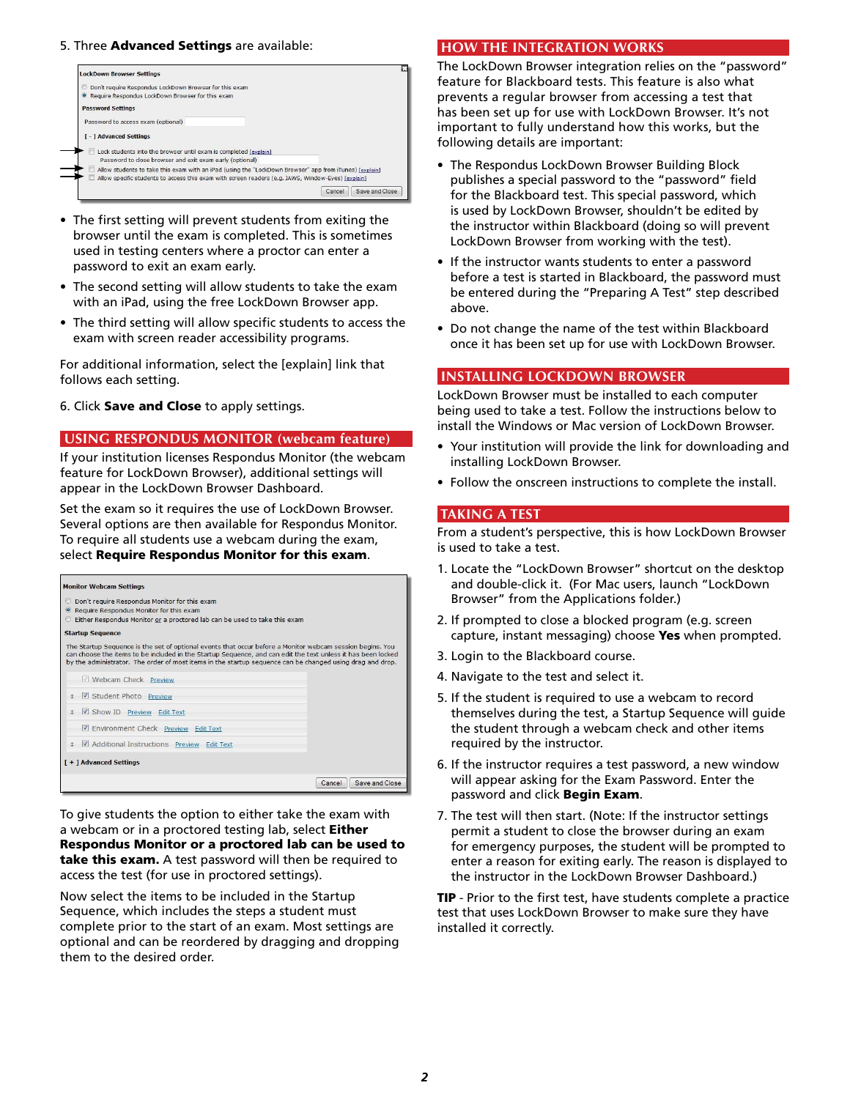## 5. Three Advanced Settings are available:



- The first setting will prevent students from exiting the browser until the exam is completed. This is sometimes used in testing centers where a proctor can enter a password to exit an exam early.
- The second setting will allow students to take the exam with an iPad, using the free LockDown Browser app.
- The third setting will allow specific students to access the exam with screen reader accessibility programs.

For additional information, select the [explain] link that follows each setting.

6. Click Save and Close to apply settings.

#### **USING RESPONDUS MONITOR (webcam feature)**

If your institution licenses Respondus Monitor (the webcam feature for LockDown Browser), additional settings will appear in the LockDown Browser Dashboard.

Set the exam so it requires the use of LockDown Browser. Several options are then available for Respondus Monitor. To require all students use a webcam during the exam, select Require Respondus Monitor for this exam.

| <b>Monitor Webcam Settings</b>                                                                                                                                                                                                                                                                                                                                                                                                                                                                                                                             |                          |  |
|------------------------------------------------------------------------------------------------------------------------------------------------------------------------------------------------------------------------------------------------------------------------------------------------------------------------------------------------------------------------------------------------------------------------------------------------------------------------------------------------------------------------------------------------------------|--------------------------|--|
| Don't require Respondus Monitor for this exam<br>v<br>Require Respondus Monitor for this exam<br>$\circ$<br>Either Respondus Monitor or a proctored lab can be used to take this exam<br><b>Startup Sequence</b><br>The Startup Sequence is the set of optional events that occur before a Monitor webcam session begins. You<br>can choose the items to be included in the Startup Sequence, and can edit the text unless it has been locked<br>by the administrator. The order of most items in the startup sequence can be changed using drag and drop. |                          |  |
| <b>Webcam Check Preview</b>                                                                                                                                                                                                                                                                                                                                                                                                                                                                                                                                |                          |  |
| Student Photo Preview                                                                                                                                                                                                                                                                                                                                                                                                                                                                                                                                      |                          |  |
| Show ID Preview Edit Text                                                                                                                                                                                                                                                                                                                                                                                                                                                                                                                                  |                          |  |
| Environment Check Preview Edit Text                                                                                                                                                                                                                                                                                                                                                                                                                                                                                                                        |                          |  |
| Additional Instructions Preview Edit Text<br>土                                                                                                                                                                                                                                                                                                                                                                                                                                                                                                             |                          |  |
| [+] Advanced Settings                                                                                                                                                                                                                                                                                                                                                                                                                                                                                                                                      |                          |  |
|                                                                                                                                                                                                                                                                                                                                                                                                                                                                                                                                                            | Save and Close<br>Cancel |  |

To give students the option to either take the exam with a webcam or in a proctored testing lab, select Either Respondus Monitor or a proctored lab can be used to take this exam. A test password will then be required to access the test (for use in proctored settings).

Now select the items to be included in the Startup Sequence, which includes the steps a student must complete prior to the start of an exam. Most settings are optional and can be reordered by dragging and dropping them to the desired order.

#### **HOW THE INTEGRATION WORKS**

The LockDown Browser integration relies on the "password" feature for Blackboard tests. This feature is also what prevents a regular browser from accessing a test that has been set up for use with LockDown Browser. It's not important to fully understand how this works, but the following details are important:

- The Respondus LockDown Browser Building Block publishes a special password to the "password" field for the Blackboard test. This special password, which is used by LockDown Browser, shouldn't be edited by the instructor within Blackboard (doing so will prevent LockDown Browser from working with the test).
- If the instructor wants students to enter a password before a test is started in Blackboard, the password must be entered during the "Preparing A Test" step described above.
- Do not change the name of the test within Blackboard once it has been set up for use with LockDown Browser.

#### **INSTALLing LOCKDOWN browser**

LockDown Browser must be installed to each computer being used to take a test. Follow the instructions below to install the Windows or Mac version of LockDown Browser.

- Your institution will provide the link for downloading and installing LockDown Browser.
- Follow the onscreen instructions to complete the install.

#### **TAKING A TEST**

From a student's perspective, this is how LockDown Browser is used to take a test.

- 1. Locate the "LockDown Browser" shortcut on the desktop and double-click it. (For Mac users, launch "LockDown Browser" from the Applications folder.)
- 2. If prompted to close a blocked program (e.g. screen capture, instant messaging) choose Yes when prompted.
- 3. Login to the Blackboard course.
- 4. Navigate to the test and select it.
- 5. If the student is required to use a webcam to record themselves during the test, a Startup Sequence will guide the student through a webcam check and other items required by the instructor.
- 6. If the instructor requires a test password, a new window will appear asking for the Exam Password. Enter the password and click Begin Exam.
- 7. The test will then start. (Note: If the instructor settings permit a student to close the browser during an exam for emergency purposes, the student will be prompted to enter a reason for exiting early. The reason is displayed to the instructor in the LockDown Browser Dashboard.)

**TIP** - Prior to the first test, have students complete a practice test that uses LockDown Browser to make sure they have installed it correctly.